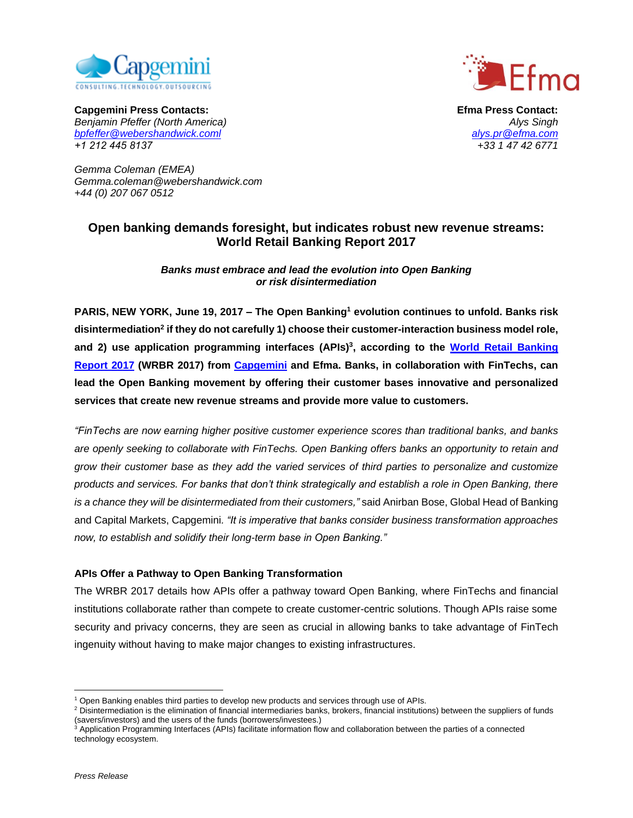



**Capgemini Press Contacts: Efma Press Contact:** *Benjamin Pfeffer (North America) [bpfeffer@webershandwick.coml](mailto:bpfeffer@webershandwick.coml) [alys.pr@efma.com](mailto:alys.pr@efma.com) +1 212 445 8137 +33 1 47 42 6771*

*Gemma Coleman (EMEA) Gemma.coleman@webershandwick.com +44 (0) 207 067 0512*

# **Open banking demands foresight, but indicates robust new revenue streams: World Retail Banking Report 2017**

*Banks must embrace and lead the evolution into Open Banking or risk disintermediation*

**PARIS, NEW YORK, June 19, 2017 – The Open Banking<sup>1</sup> evolution continues to unfold. Banks risk disintermediation<sup>2</sup> if they do not carefully 1) choose their customer-interaction business model role, and 2) use application programming interfaces (APIs) 3 , according to the [World Retail Banking](http://www.worldretailbankingreport.com/)  [Report 2017](http://www.worldretailbankingreport.com/) (WRBR 2017) from [Capgemini](https://www.capgemini.com/) and Efma. Banks, in collaboration with FinTechs, can lead the Open Banking movement by offering their customer bases innovative and personalized services that create new revenue streams and provide more value to customers.**

*"FinTechs are now earning higher positive customer experience scores than traditional banks, and banks are openly seeking to collaborate with FinTechs. Open Banking offers banks an opportunity to retain and grow their customer base as they add the varied services of third parties to personalize and customize products and services. For banks that don't think strategically and establish a role in Open Banking, there is a chance they will be disintermediated from their customers,"* said Anirban Bose, Global Head of Banking and Capital Markets, Capgemini*. "It is imperative that banks consider business transformation approaches now, to establish and solidify their long-term base in Open Banking."*

## **APIs Offer a Pathway to Open Banking Transformation**

The WRBR 2017 details how APIs offer a pathway toward Open Banking, where FinTechs and financial institutions collaborate rather than compete to create customer-centric solutions. Though APIs raise some security and privacy concerns, they are seen as crucial in allowing banks to take advantage of FinTech ingenuity without having to make major changes to existing infrastructures.

 $\overline{a}$ 

<sup>1</sup> Open Banking enables third parties to develop new products and services through use of APIs.

<sup>&</sup>lt;sup>2</sup> Disintermediation is the elimination of financial intermediaries banks, brokers, financial institutions) between the suppliers of funds (savers/investors) and the users of the funds (borrowers/investees.)

<sup>&</sup>lt;sup>3</sup> Application Programming Interfaces (APIs) facilitate information flow and collaboration between the parties of a connected technology ecosystem.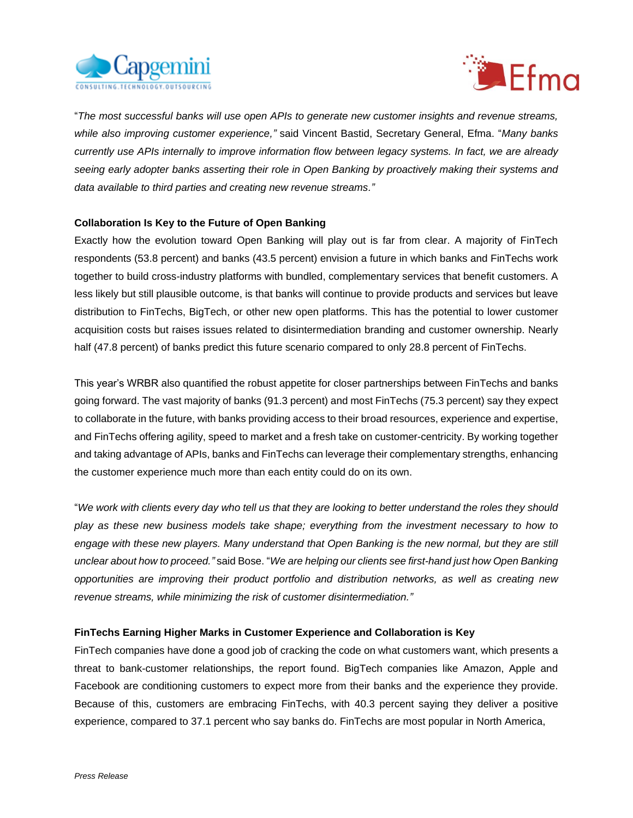



"*The most successful banks will use open APIs to generate new customer insights and revenue streams, while also improving customer experience,"* said Vincent Bastid, Secretary General, Efma. "*Many banks currently use APIs internally to improve information flow between legacy systems. In fact, we are already seeing early adopter banks asserting their role in Open Banking by proactively making their systems and data available to third parties and creating new revenue streams."*

## **Collaboration Is Key to the Future of Open Banking**

Exactly how the evolution toward Open Banking will play out is far from clear. A majority of FinTech respondents (53.8 percent) and banks (43.5 percent) envision a future in which banks and FinTechs work together to build cross-industry platforms with bundled, complementary services that benefit customers. A less likely but still plausible outcome, is that banks will continue to provide products and services but leave distribution to FinTechs, BigTech, or other new open platforms. This has the potential to lower customer acquisition costs but raises issues related to disintermediation branding and customer ownership. Nearly half (47.8 percent) of banks predict this future scenario compared to only 28.8 percent of FinTechs.

This year's WRBR also quantified the robust appetite for closer partnerships between FinTechs and banks going forward. The vast majority of banks (91.3 percent) and most FinTechs (75.3 percent) say they expect to collaborate in the future, with banks providing access to their broad resources, experience and expertise, and FinTechs offering agility, speed to market and a fresh take on customer-centricity. By working together and taking advantage of APIs, banks and FinTechs can leverage their complementary strengths, enhancing the customer experience much more than each entity could do on its own.

"*We work with clients every day who tell us that they are looking to better understand the roles they should play as these new business models take shape; everything from the investment necessary to how to engage with these new players. Many understand that Open Banking is the new normal, but they are still unclear about how to proceed."* said Bose. "*We are helping our clients see first-hand just how Open Banking opportunities are improving their product portfolio and distribution networks, as well as creating new revenue streams, while minimizing the risk of customer disintermediation."*

#### **FinTechs Earning Higher Marks in Customer Experience and Collaboration is Key**

FinTech companies have done a good job of cracking the code on what customers want, which presents a threat to bank-customer relationships, the report found. BigTech companies like Amazon, Apple and Facebook are conditioning customers to expect more from their banks and the experience they provide. Because of this, customers are embracing FinTechs, with 40.3 percent saying they deliver a positive experience, compared to 37.1 percent who say banks do. FinTechs are most popular in North America,